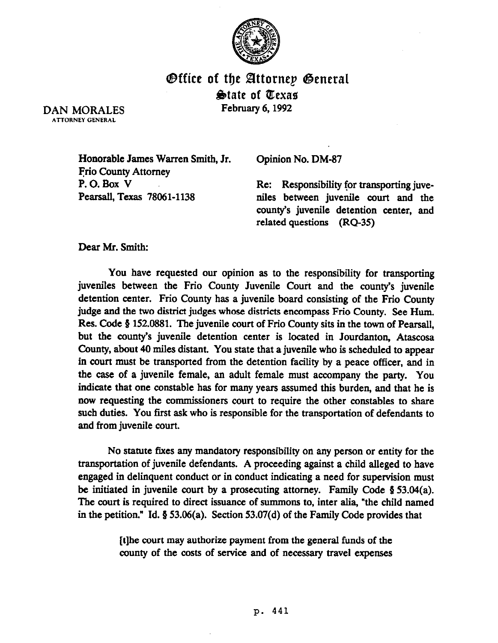

**Office of the Attornep General** State of Texas February 6.1992

DAN MORALES ATTORNEY GENERAL

> Honorable James Warren Smith, Jr. Frio County Attorney P.O. Box V Pearsall, Texas 78061-1138

Opinion No. DM-87

Re: Responsibility for transporting juveniles between juvenile court and the county's juvenile detention center, and related questions (RQ-35)

*Dear Mr. smith:* 

You have requested our opinion as to the responsibility for transporting juveniles between the Frio County Juvenile Court and the county's juvenile detention center. Frio County has a juvenile board consisting of the Frio County judge and the two district judges whose districts encompass Frio County. See Hum. Res. Code § 152.0881. The juvenile court of Frio County sits in the town of Pearsall, but the county's juvenile detention center is located in Jourdanton, Atascosa County, about 40 miles distant. You state that a juvenile who is scheduled to appear in court must be transported from the detention facility by a peace officer, and in the case of a juvenile female, an adult female must accompany the party. You indicate that one constable has for many years assumed this burden, and that he is now requesting the commissioners court to require the other constables to share such duties. You first ask who is responsible for the transportation of defendants to and from juvenile court.

No statute fixes any mandatory responsibility on any person or entity for the transportation of juvenile defendants. A proceeding against a child alleged to have engaged in delinquent conduct or in conduct indicating a need for supervision must be initiated in juvenile court by a prosecuting attorney. Family Code  $\S$  53.04(a). The court is required to direct issuance of summons to, inter alia, "the child named in the petition." Id.  $\S$  53.06(a). Section 53.07(d) of the Family Code provides that

> [t]he court may authorize payment from the general funds of the county of the costs of setvice and of necessary travel expenses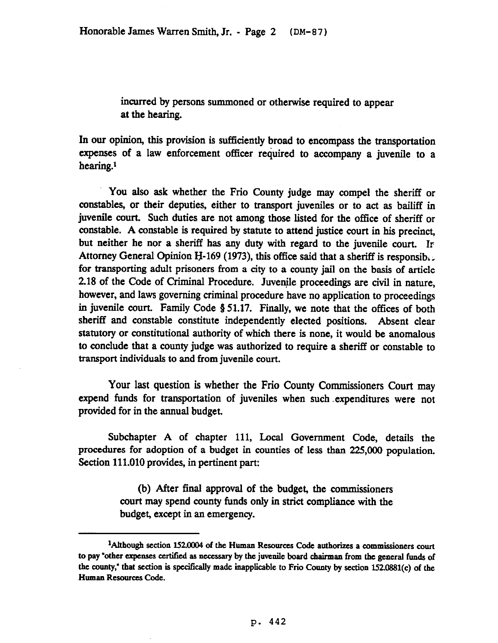incurred by persons summoned or otherwise required to appear at the hearing.

In our opinion, this provision is sufficiently broad to encompass the transportation expenses of a law enforcement officer required to accompany a juvenile to a hearing.<sup>1</sup>

You also ask whether the Frio County judge may compel the sheriff or constables, or their deputies, either to transport juveniles or to act as bailiff in juvenile court. Such duties are not among those listed for the office of sheriff or constable. A constable is required by statute to attend justice court in his precinct, but neither he nor a sheriff has any duty with regard to the juvenile court. Ir Attorney General Opinion H-169 (1973), this office said that a sheriff is responsib,; for transporting adult prisoners from a city to a county jail on the basis of article 2.18 of the Code of Criminal Procedure. Juvenile proceedings are civil in nature, however, and laws governing criminal procedure have no application to proceedings in juvenile court. Family Code § 51.17. Finally, we note that the offices of both sheriff and constable constitute independently elected positions. Absent clear statutory or constitutional authority of which there is none, it would be anomalous to conclude that a county judge was authorized to require a sheriff or constable to transport individuals to and from juvenile court.

Your last question is whether the Frio County Commissioners Court may expend funds for transportation of juveniles when such .expenditures were not provided for in the annual budget.

Subchapter A of chapter 111, Local Government Code, details the procedures for adoption of a budget in counties of less than 225,ooO population. Section 111.010 provides, in pertinent part:

> (b) After final approval of the budget, the commissioners court may spend county funds only in strict compliance with the budget, except in an emergency.

<sup>&</sup>lt;sup>1</sup>Although section 152.0004 of the Human Resources Code authorizes a commissioners court to pay "other expenses certified as necessary by the juvenile board chairman from the general funds of the county," that section is specifically made inapplicable to Frio County by section 152.0881(c) of the Human **Resources code.**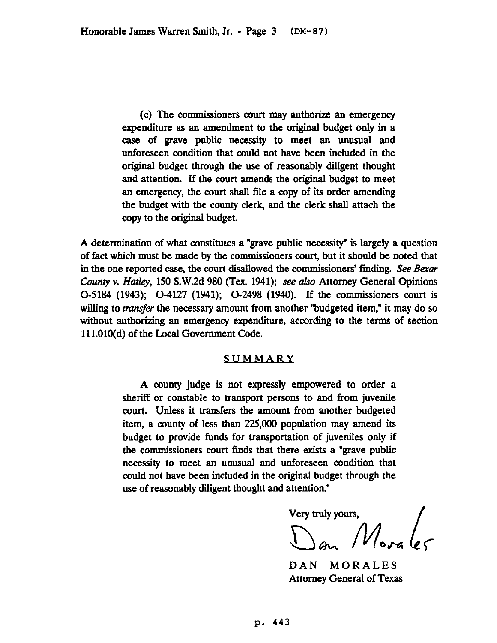(c) The commissioners court may authorize an emergency expenditure as an amendment to the original budget only in a case of grave public necessity to meet an unusual and unforeseen condition that could not have been included in the original budget through the use of reasonably diligent thought and attention. If the court amends the original budget to meet an emergency, the court shall file a copy of its order amending the budget with the county clerk, and the clerk shall attach the copy to the original budget.

A determination of what constitutes a "grave public necessity" is largely a question of fact which must be made by the commissioners court, but it should be noted that in the one reported case, the court disallowed the commissioners' finding. See *Baar*  County v. *Hatley*, 150 S.W.2d 980 (Tex. 1941); see also Attorney General Opinions O-5184 (1943); O-4127 (1941); O-2498 (1940). If the commissioners court is willing to *transfer* the necessary amount from another "budgeted item," it may do so without authorizing an emergency expenditure, according to the terms of section 111.010(d) of the Local Government Code.

## SUMMARY

A county judge is not expressly empowered to order a sheriff or constable to transport persons to and from juvenile court. Unless it transfers the amount from another budgeted item, a county of less than 225,000 population may amend its budget to provide funds for transportation of juveniles only if the commissioners court finds that there exists a "grave public necessity to meet an unusual and unforeseen condition that could not have been included in the original budget through the use of reasonably diligent thought and attention."

Very truly yours,<br> $\bigcup_{\omega_{\alpha}}\bigcap_{\omega_{\alpha}\sim\omega}\bigcap_{\omega\in\Omega}$ 

DAN MORALES Attorney General of Texas